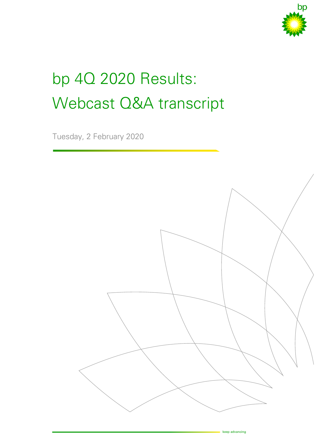

# bp 4Q 2020 Results: Webcast Q&A transcript

Tuesday, 2 February 2020

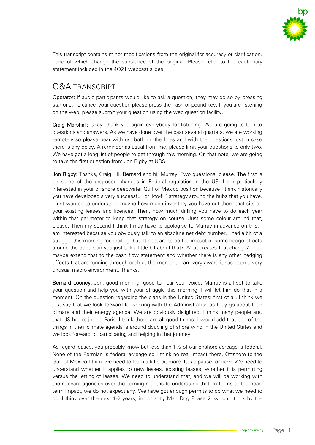

This transcript contains minor modifications from the original for accuracy or clarification, none of which change the substance of the original. Please refer to the cautionary statement included in the 4Q21 webcast slides.

## Q&A TRANSCRIPT

**Operator:** If audio participants would like to ask a question, they may do so by pressing star one. To cancel your question please press the hash or pound key. If you are listening on the web, please submit your question using the web question facility.

Craig Marshall: Okay, thank you again everybody for listening. We are going to turn to questions and answers. As we have done over the past several quarters, we are working remotely so please bear with us, both on the lines and with the questions just in case there is any delay. A reminder as usual from me, please limit your questions to only two. We have got a long list of people to get through this morning. On that note, we are going to take the first question from Jon Rigby at UBS.

Jon Rigby: Thanks, Craig. Hi, Bernard and hi, Murray. Two questions, please. The first is on some of the proposed changes in Federal regulation in the US. I am particularly interested in your offshore deepwater Gulf of Mexico position because I think historically you have developed a very successful 'drill-to-fill' strategy around the hubs that you have. I just wanted to understand maybe how much inventory you have out there that sits on your existing leases and licences. Then, how much drilling you have to do each year within that perimeter to keep that strategy on course. Just some colour around that, please. Then my second I think I may have to apologise to Murray in advance on this. I am interested because you obviously talk to an absolute net debt number, I had a bit of a struggle this morning reconciling that. It appears to be the impact of some hedge effects around the debt. Can you just talk a little bit about that? What creates that change? Then maybe extend that to the cash flow statement and whether there is any other hedging effects that are running through cash at the moment. I am very aware it has been a very unusual macro environment. Thanks.

Bernard Looney: Jon, good morning, good to hear your voice. Murray is all set to take your question and help you with your struggle this morning. I will let him do that in a moment. On the question regarding the plans in the United States: first of all, I think we just say that we look forward to working with the Administration as they go about their climate and their energy agenda. We are obviously delighted, I think many people are, that US has re-joined Paris. I think these are all good things. I would add that one of the things in their climate agenda is around doubling offshore wind in the United States and we look forward to participating and helping in that journey.

As regard leases, you probably know but less than 1% of our onshore acreage is federal. None of the Permian is federal acreage so I think no real impact there. Offshore to the Gulf of Mexico I think we need to learn a little bit more. It is a pause for now. We need to understand whether it applies to new leases, existing leases, whether it is permitting versus the letting of leases. We need to understand that, and we will be working with the relevant agencies over the coming months to understand that. In terms of the nearterm impact, we do not expect any. We have got enough permits to do what we need to do. I think over the next 1-2 years, importantly Mad Dog Phase 2, which I think by the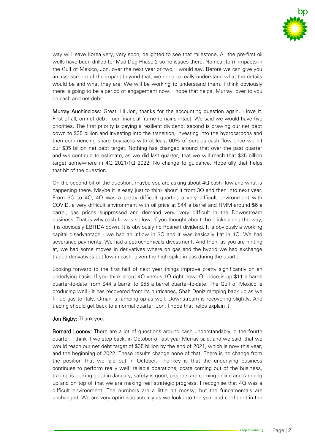

way will leave Korea very, very soon, delighted to see that milestone. All the pre-first oil wells have been drilled for Mad Dog Phase 2 so no issues there. No near-term impacts in the Gulf of Mexico, Jon, over the next year or two, I would say. Before we can give you an assessment of the impact beyond that, we need to really understand what the details would be and what they are. We will be working to understand them. I think obviously there is going to be a period of engagement now. I hope that helps. Murray, over to you on cash and net debt.

Murray Auchincloss: Great. Hi Jon, thanks for the accounting question again, I love it. First of all, on net debt - our financial frame remains intact. We said we would have five priorities. The first priority is paying a resilient dividend, second is drawing our net debt down to \$35 billion and investing into the transition, investing into the hydrocarbons and then commencing share buybacks with at least 60% of surplus cash flow once we hit our \$35 billion net debt target. Nothing has changed around that over the past quarter and we continue to estimate, as we did last quarter, that we will reach that \$35 billion target somewhere in 4Q 2021/1Q 2022. No change to guidance. Hopefully that helps that bit of the question.

On the second bit of the question, maybe you are asking about 4Q cash flow and what is happening there. Maybe it is easy just to think about it from 3Q and then into next year. From 3Q to 4Q, 4Q was a pretty difficult quarter, a very difficult environment with COVID, a very difficult environment with oil price at \$44 a barrel and RMM around \$6 a barrel, gas prices suppressed and demand very, very difficult in the Downstream business. That is why cash flow is so low. If you thought about the bricks along the way, it is obviously EBITDA down. It is obviously no Rosneft dividend. It is obviously a working capital disadvantage - we had an inflow in  $3Q$  and it was basically flat in  $4Q$ . We had severance payments. We had a petrochemicals divestment. And then, as you are hinting at, we had some moves in derivatives where on gas and the hybrid we had exchange traded derivatives outflow in cash, given the high spike in gas during the quarter.

Looking forward to the first half of next year things improve pretty significantly on an underlying basis. If you think about 4Q versus 1Q right now: Oil price is up \$11 a barrel quarter-to-date from \$44 a barrel to \$55 a barrel quarter-to-date. The Gulf of Mexico is producing well - it has recovered from its hurricanes, Shah Deniz ramping back up as we fill up gas to Italy. Oman is ramping up as well. Downstream is recovering slightly. And trading should get back to a normal quarter. Jon, I hope that helps explain it.

#### Jon Rigby: Thank you.

**Bernard Looney:** There are a lot of questions around cash understandably in the fourth quarter. I think if we step back, in October of last year Murray said, and we said, that we would reach our net debt target of \$35 billion by the end of 2021, which is now this year, and the beginning of 2022. These results change none of that. There is no change from the position that we laid out in October. The key is that the underlying business continues to perform really well: reliable operations, costs coming out of the business, trading is looking good in January, safety is good, projects are coming online and ramping up and on top of that we are making real strategic progress. I recognise that 4Q was a difficult environment. The numbers are a little bit messy, but the fundamentals are unchanged. We are very optimistic actually as we look into the year and confident in the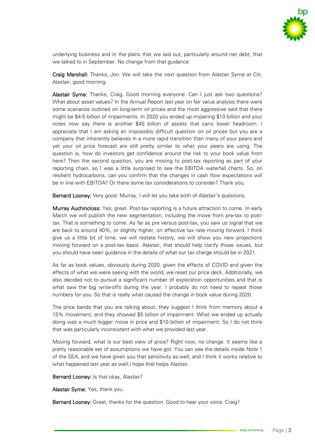

underlying business and in the plans that we laid out, particularly around net debt, that we talked to in September. No change from that guidance.

Craig Marshall: Thanks, Jon. We will take the next question from Alastair Syme at Citi. Alastair, good morning.

Alastair Syme: Thanks, Craig. Good morning everyone. Can I just ask two questions? What about asset values? In the Annual Report last year on fair value analysis there were some scenarios outlined on long-term oil prices and the most aggressive said that there might be \$4-5 billion of impairments. In 2020 you ended up impairing \$10 billion and your notes now say there is another \$45 billion of assets that carry lower headroom. I appreciate that I am asking an impossibly difficult question on oil prices but you are a company that inherently believes in a more rapid transition than many of your peers and yet your oil price forecast are still pretty similar to what your peers are using. The question is, how do investors get confidence around the risk to your book value from here? Then the second question, you are moving to post-tax reporting as part of your reporting chain, so I was a little surprised to see the EBITDA waterfall charts. So, on resilient hydrocarbons, can you confirm that the changes in cash flow expectations will be in line with EBITDA? Or there some tax considerations to consider? Thank you.

Bernard Looney: Very good. Murray, I will let you take both of Alastair's questions.

Murray Auchincloss: Yes, great. Post-tax reporting is a future attraction to come. In early March we will publish the new segmentation, including the move from pre-tax to posttax. That is something to come. As far as pre versus post-tax, you saw us signal that we are back to around 40%, or slightly higher, on effective tax rate moving forward. I think give us a little bit of time, we will restate history, we will show you new projections moving forward on a post-tax basis. Alastair, that should help clarify those issues, but you should have seen guidance in the details of what our tax charge should be in 2021.

As far as book values, obviously during 2020, given the effects of COVID and given the effects of what we were seeing with the world, we reset our price deck. Additionally, we also decided not to pursue a significant number of exploration opportunities and that is what saw the big write-offs during the year. I probably do not need to repeat those numbers for you. So that is really what caused the change in book value during 2020.

The price bands that you are talking about, they suggest I think from memory about a 15% movement, and they showed \$5 billion of impairment. What we ended up actually doing was a much bigger move in price and \$10 billion of impairment. So I do not think that was particularly inconsistent with what we provided last year.

Moving forward, what is our best view of price? Right now, no change. It seems like a pretty reasonable set of assumptions we have got. You can see the details inside Note 1 of the SEA, and we have given you that sensitivity as well, and I think it works relative to what happened last year as well.I hope that helps Alastair.

Bernard Looney: Is that okay, Alastair?

Alastair Syme: Yes, thank you.

Bernard Looney: Great, thanks for the question. Good to hear your voice. Craig?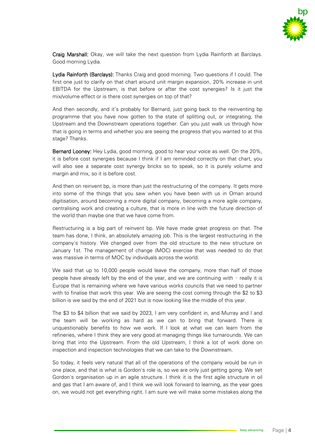

Craig Marshall: Okay, we will take the next question from Lydia Rainforth at Barclays. Good morning Lydia.

Lydia Rainforth (Barclays): Thanks Craig and good morning. Two questions if I could. The first one just to clarify on that chart around unit margin expansion, 20% increase in unit EBITDA for the Upstream, is that before or after the cost synergies? Is it just the mix/volume effect or is there cost synergies on top of that?

And then secondly, and it's probably for Bernard, just going back to the reinventing bp programme that you have now gotten to the state of splitting out, or integrating, the Upstream and the Downstream operations together. Can you just walk us through how that is going in terms and whether you are seeing the progress that you wanted to at this stage? Thanks.

Bernard Looney: Hey Lydia, good morning, good to hear your voice as well. On the 20%, it is before cost synergies because I think if I am reminded correctly on that chart, you will also see a separate cost synergy bricks so to speak, so it is purely volume and margin and mix, so it is before cost.

And then on reinvent bp, is more than just the restructuring of the company. It gets more into some of the things that you saw when you have been with us in Oman around digitisation, around becoming a more digital company, becoming a more agile company, centralising work and creating a culture, that is more in line with the future direction of the world than maybe one that we have come from.

Restructuring is a big part of reinvent bp. We have made great progress on that. The team has done, I think, an absolutely amazing job. This is the largest restructuring in the company's history. We changed over from the old structure to the new structure on January 1st. The management of change (MOC) exercise that was needed to do that was massive in terms of MOC by individuals across the world.

We said that up to 10,000 people would leave the company, more than half of those people have already left by the end of the year, and we are continuing with – really it is Europe that is remaining where we have various works councils that we need to partner with to finalise that work this year. We are seeing the cost coming through the \$2 to \$3 billion is we said by the end of 2021 but is now looking like the middle of this year.

The \$3 to \$4 billion that we said by 2023, I am very confident in, and Murray and I and the team will be working as hard as we can to bring that forward. There is unquestionably benefits to how we work. If I look at what we can learn from the refineries, where I think they are very good at managing things like turnarounds. We can bring that into the Upstream. From the old Upstream, I think a lot of work done on inspection and inspection technologies that we can take to the Downstream.

So today, it feels very natural that all of the operations of the company would be run in one place, and that is what is Gordon's role is, so we are only just getting going. We set Gordon's organisation up in an agile structure. I think it is the first agile structure in oil and gas that I am aware of, and I think we will look forward to learning, as the year goes on, we would not get everything right. I am sure we will make some mistakes along the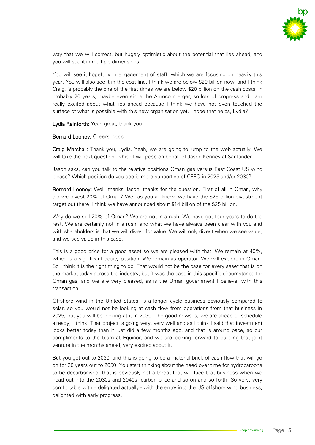

way that we will correct, but hugely optimistic about the potential that lies ahead, and you will see it in multiple dimensions.

You will see it hopefully in engagement of staff, which we are focusing on heavily this year. You will also see it in the cost line. I think we are below \$20 billion now, and I think Craig, is probably the one of the first times we are below \$20 billion on the cash costs, in probably 20 years, maybe even since the Amoco merger, so lots of progress and I am really excited about what lies ahead because I think we have not even touched the surface of what is possible with this new organisation yet. I hope that helps, Lydia?

Lydia Rainforth: Yeah great, thank you.

Bernard Looney: Cheers, good.

Craig Marshall: Thank you, Lydia. Yeah, we are going to jump to the web actually. We will take the next question, which I will pose on behalf of Jason Kenney at Santander.

Jason asks, can you talk to the relative positions Oman gas versus East Coast US wind please? Which position do you see is more supportive of CFFO in 2025 and/or 2030?

Bernard Looney: Well, thanks Jason, thanks for the question. First of all in Oman, why did we divest 20% of Oman? Well as you all know, we have the \$25 billion divestment target out there. I think we have announced about \$14 billion of the \$25 billion.

Why do we sell 20% of Oman? We are not in a rush. We have got four years to do the rest. We are certainly not in a rush, and what we have always been clear with you and with shareholders is that we will divest for value. We will only divest when we see value, and we see value in this case.

This is a good price for a good asset so we are pleased with that. We remain at 40%, which is a significant equity position. We remain as operator. We will explore in Oman. So I think it is the right thing to do. That would not be the case for every asset that is on the market today across the industry, but it was the case in this specific circumstance for Oman gas, and we are very pleased, as is the Oman government I believe, with this transaction.

Offshore wind in the United States, is a longer cycle business obviously compared to solar, so you would not be looking at cash flow from operations from that business in 2025, but you will be looking at it in 2030. The good news is, we are ahead of schedule already, I think. That project is going very, very well and as I think I said that investment looks better today than it just did a few months ago, and that is around pace, so our compliments to the team at Equinor, and we are looking forward to building that joint venture in the months ahead, very excited about it.

But you get out to 2030, and this is going to be a material brick of cash flow that will go on for 20 years out to 2050. You start thinking about the need over time for hydrocarbons to be decarbonised, that is obviously not a threat that will face that business when we head out into the 2030s and 2040s, carbon price and so on and so forth. So very, very comfortable with – delighted actually - with the entry into the US offshore wind business, delighted with early progress.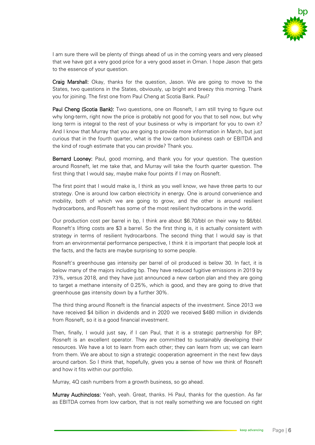

I am sure there will be plenty of things ahead of us in the coming years and very pleased that we have got a very good price for a very good asset in Oman. I hope Jason that gets to the essence of your question.

Craig Marshall: Okay, thanks for the question, Jason. We are going to move to the States, two questions in the States, obviously, up bright and breezy this morning. Thank you for joining. The first one from Paul Cheng at Scotia Bank. Paul?

Paul Cheng (Scotia Bank): Two questions, one on Rosneft, I am still trying to figure out why long-term, right now the price is probably not good for you that to sell now, but why long term is integral to the rest of your business or why is important for you to own it? And I know that Murray that you are going to provide more information in March, but just curious that in the fourth quarter, what is the low carbon business cash or EBITDA and the kind of rough estimate that you can provide? Thank you.

Bernard Looney: Paul, good morning, and thank you for your question. The question around Rosneft, let me take that, and Murray will take the fourth quarter question. The first thing that I would say, maybe make four points if I may on Rosneft.

The first point that I would make is, I think as you well know, we have three parts to our strategy. One is around low carbon electricity in energy. One is around convenience and mobility, both of which we are going to grow, and the other is around resilient hydrocarbons, and Rosneft has some of the most resilient hydrocarbons in the world.

Our production cost per barrel in bp, I think are about \$6.70/bbl on their way to \$6/bbl. Rosneft's lifting costs are \$3 a barrel. So the first thing is, it is actually consistent with strategy in terms of resilient hydrocarbons. The second thing that I would say is that from an environmental performance perspective, I think it is important that people look at the facts, and the facts are maybe surprising to some people.

Rosneft's greenhouse gas intensity per barrel of oil produced is below 30. In fact, it is below many of the majors including bp. They have reduced fugitive emissions in 2019 by 73%, versus 2018, and they have just announced a new carbon plan and they are going to target a methane intensity of 0.25%, which is good, and they are going to drive that greenhouse gas intensity down by a further 30%.

The third thing around Rosneft is the financial aspects of the investment. Since 2013 we have received \$4 billion in dividends and in 2020 we received \$480 million in dividends from Rosneft, so it is a good financial investment.

Then, finally, I would just say, if I can Paul, that it is a strategic partnership for BP; Rosneft is an excellent operator. They are committed to sustainably developing their resources. We have a lot to learn from each other; they can learn from us; we can learn from them. We are about to sign a strategic cooperation agreement in the next few days around carbon. So I think that, hopefully, gives you a sense of how we think of Rosneft and how it fits within our portfolio.

Murray, 4Q cash numbers from a growth business, so go ahead.

Murray Auchincloss: Yeah, yeah. Great, thanks. Hi Paul, thanks for the question. As far as EBITDA comes from low carbon, that is not really something we are focused on right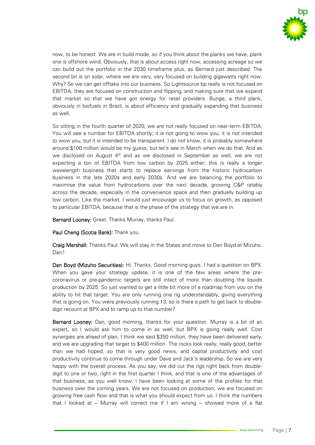

now, to be honest. We are in build mode, so if you think about the planks we have, plank one is offshore wind. Obviously, that is about access right now, accessing acreage so we can build out the portfolio in the 2030 timeframe plus, as Bernard just described. The second bit is on solar, where we are very, very focused on building gigawatts right now. Why? So we can get offtake into our business. So Lightsource bp really is not focused on EBITDA, they are focused on construction and flipping, and making sure that we expand that market so that we have got energy for retail providers. Bunge, a third plank, obviously in biofuels in Brazil, is about efficiency and gradually expanding that business as well.

So sitting in the fourth quarter of 2020, we are not really focused on near-term EBITDA. You will see a number for EBITDA shortly; it is not going to wow you, it is not intended to wow you, but it is intended to be transparent. I do not know, it is probably somewhere around \$100 million would be my guess, but let's see in March when we do that. And as we disclosed on August  $4<sup>th</sup>$  and as we disclosed in September as well, we are not expecting a ton of EBITDA from low carbon by 2025 either; this is really a longer wavelength business that starts to replace earnings from the historic hydrocarbon business in the late 2020s and early 2030s. And we are balancing the portfolio to maximise the value from hydrocarbons over the next decade, growing C&P ratably across the decade, especially in the convenience space and then gradually building up low carbon. Like the market, I would just encourage us to focus on growth, as opposed to particular EBITDA, because that is the phase of the strategy that we are in.

Bernard Looney: Great. Thanks Murray, thanks Paul.

Paul Cheng (Scotia Bank): Thank you.

Craig Marshall: Thanks Paul. We will stay in the States and move to Dan Boyd at Mizuho. Dan?

Dan Boyd (Mizuho Securities): Hi. Thanks. Good morning guys. I had a question on BPX. When you gave your strategy update, it is one of the few areas where the precoronavirus or pre-pandemic targets are still intact of more than doubling the liquids production by 2025. So just wanted to get a little bit more of a roadmap from you on the ability to hit that target. You are only running one rig understandably, giving everything that is going on. You were previously running 13, so is there a path to get back to doubledigit recount at BPX and to ramp up to that number?

Bernard Looney: Dan, good morning, thanks for your question. Murray is a bit of an expert, so I would ask him to come in as well, but BPX is going really well. Cost synergies are ahead of plan; I think we said \$350 million, they have been delivered early, and we are upgrading that target to \$400 million. The rocks look really, really good, better than we had hoped, so that is very good news, and capital productivity and cost productivity continue to come through under Dave and Jack's leadership. So we are very happy with the overall process. As you say, we did cut the rigs right back from doubledigit to one or two, right in the first quarter I think, and that is one of the advantages of that business, as you well know. I have been looking at some of the profiles for that business over the coming years. We are not focused on production; we are focused on growing free cash flow and that is what you should expect from us. I think the numbers that I looked at – Murray will correct me if I am wrong – showed more of a flat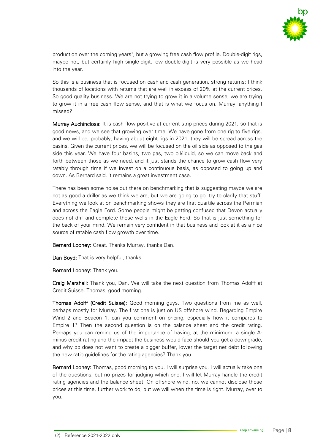

production over the coming years<sup>1</sup>, but a growing free cash flow profile. Double-digit rigs, maybe not, but certainly high single-digit, low double-digit is very possible as we head into the year.

So this is a business that is focused on cash and cash generation, strong returns; I think thousands of locations with returns that are well in excess of 20% at the current prices. So good quality business. We are not trying to grow it in a volume sense, we are trying to grow it in a free cash flow sense, and that is what we focus on. Murray, anything I missed?

Murray Auchincloss: It is cash flow positive at current strip prices during 2021, so that is good news, and we see that growing over time. We have gone from one rig to five rigs, and we will be, probably, having about eight rigs in 2021; they will be spread across the basins. Given the current prices, we will be focused on the oil side as opposed to the gas side this year. We have four basins, two gas, two oil/liquid, so we can move back and forth between those as we need, and it just stands the chance to grow cash flow very ratably through time if we invest on a continuous basis, as opposed to going up and down. As Bernard said, it remains a great investment case.

There has been some noise out there on benchmarking that is suggesting maybe we are not as good a driller as we think we are, but we are going to go, try to clarify that stuff. Everything we look at on benchmarking shows they are first quartile across the Permian and across the Eagle Ford. Some people might be getting confused that Devon actually does not drill and complete those wells in the Eagle Ford. So that is just something for the back of your mind. We remain very confident in that business and look at it as a nice source of ratable cash flow growth over time.

Bernard Looney: Great. Thanks Murray, thanks Dan.

Dan Boyd: That is very helpful, thanks.

Bernard Looney: Thank you.

Craig Marshall: Thank you, Dan. We will take the next question from Thomas Adolff at Credit Suisse. Thomas, good morning.

Thomas Adolff (Credit Suisse): Good morning guys. Two questions from me as well, perhaps mostly for Murray. The first one is just on US offshore wind. Regarding Empire Wind 2 and Beacon 1, can you comment on pricing, especially how it compares to Empire 1? Then the second question is on the balance sheet and the credit rating. Perhaps you can remind us of the importance of having, at the minimum, a single Aminus credit rating and the impact the business would face should you get a downgrade, and why bp does not want to create a bigger buffer, lower the target net debt following the new ratio guidelines for the rating agencies? Thank you.

Bernard Looney: Thomas, good morning to you. I will surprise you, I will actually take one of the questions, but no prizes for judging which one. I will let Murray handle the credit rating agencies and the balance sheet. On offshore wind, no, we cannot disclose those prices at this time, further work to do, but we will when the time is right. Murray, over to you.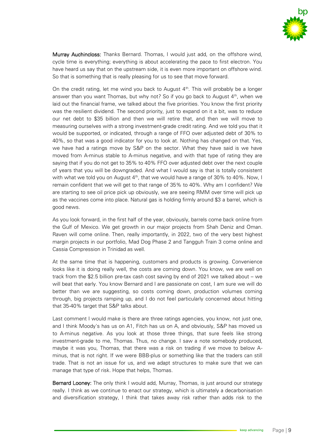

Murray Auchincloss: Thanks Bernard. Thomas, I would just add, on the offshore wind, cycle time is everything; everything is about accelerating the pace to first electron. You have heard us say that on the upstream side, it is even more important on offshore wind. So that is something that is really pleasing for us to see that move forward.

On the credit rating, let me wind you back to August  $4<sup>th</sup>$ . This will probably be a longer answer than you want Thomas, but why not? So if you go back to August  $4<sup>th</sup>$ , when we laid out the financial frame, we talked about the five priorities. You know the first priority was the resilient dividend. The second priority, just to expand on it a bit, was to reduce our net debt to \$35 billion and then we will retire that, and then we will move to measuring ourselves with a strong investment-grade credit rating. And we told you that it would be supported, or indicated, through a range of FFO over adjusted debt of 30% to 40%, so that was a good indicator for you to look at. Nothing has changed on that. Yes, we have had a ratings move by S&P on the sector. What they have said is we have moved from A-minus stable to A-minus negative, and with that type of rating they are saying that if you do not get to 35% to 40% FFO over adjusted debt over the next couple of years that you will be downgraded. And what I would say is that is totally consistent with what we told you on August  $4<sup>th</sup>$ , that we would have a range of 30% to 40%. Now, I remain confident that we will get to that range of 35% to 40%. Why am I confident? We are starting to see oil price pick up obviously, we are seeing RMM over time will pick up as the vaccines come into place. Natural gas is holding firmly around \$3 a barrel, which is good news.

As you look forward, in the first half of the year, obviously, barrels come back online from the Gulf of Mexico. We get growth in our major projects from Shah Deniz and Oman. Raven will come online. Then, really importantly, in 2022, two of the very best highest margin projects in our portfolio, Mad Dog Phase 2 and Tangguh Train 3 come online and Cassia Compression in Trinidad as well.

At the same time that is happening, customers and products is growing. Convenience looks like it is doing really well, the costs are coming down. You know, we are well on track from the \$2.5 billion pre-tax cash cost saving by end of 2021 we talked about – we will beat that early. You know Bernard and I are passionate on cost, I am sure we will do better than we are suggesting, so costs coming down, production volumes coming through, big projects ramping up, and I do not feel particularly concerned about hitting that 35-40% target that S&P talks about.

Last comment I would make is there are three ratings agencies, you know, not just one, and I think Moody's has us on A1, Fitch has us on A, and obviously, S&P has moved us to A-minus negative. As you look at those three things, that sure feels like strong investment-grade to me, Thomas. Thus, no change. I saw a note somebody produced, maybe it was you, Thomas, that there was a risk on trading if we move to below Aminus, that is not right. If we were BBB-plus or something like that the traders can still trade. That is not an issue for us, and we adapt structures to make sure that we can manage that type of risk. Hope that helps, Thomas.

Bernard Looney: The only think I would add, Murray, Thomas, is just around our strategy really. I think as we continue to enact our strategy, which is ultimately a decarbonisation and diversification strategy, I think that takes away risk rather than adds risk to the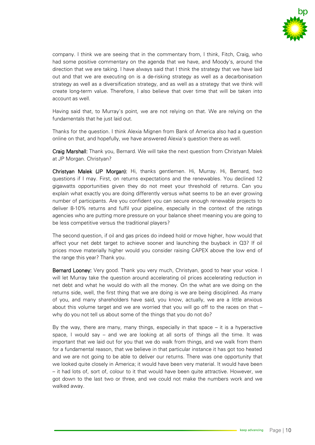

company. I think we are seeing that in the commentary from, I think, Fitch, Craig, who had some positive commentary on the agenda that we have, and Moody's, around the direction that we are taking. I have always said that I think the strategy that we have laid out and that we are executing on is a de-risking strategy as well as a decarbonisation strategy as well as a diversification strategy, and as well as a strategy that we think will create long-term value. Therefore, I also believe that over time that will be taken into account as well.

Having said that, to Murray's point, we are not relying on that. We are relying on the fundamentals that he just laid out.

Thanks for the question. I think Alexia Mignen from Bank of America also had a question online on that, and hopefully, we have answered Alexia's question there as well.

Craig Marshall: Thank you, Bernard. We will take the next question from Christyan Malek at JP Morgan. Christyan?

Christyan Malek (JP Morgan): Hi, thanks gentlemen. Hi, Murray. Hi, Bernard, two questions if I may. First, on returns expectations and the renewables. You declined 12 gigawatts opportunities given they do not meet your threshold of returns. Can you explain what exactly you are doing differently versus what seems to be an ever growing number of participants. Are you confident you can secure enough renewable projects to deliver 8-10% returns and fulfil your pipeline, especially in the context of the ratings agencies who are putting more pressure on your balance sheet meaning you are going to be less competitive versus the traditional players?

The second question, if oil and gas prices do indeed hold or move higher, how would that affect your net debt target to achieve sooner and launching the buyback in Q3? If oil prices move materially higher would you consider raising CAPEX above the low end of the range this year? Thank you.

Bernard Looney: Very good. Thank you very much, Christyan, good to hear your voice. I will let Murray take the question around accelerating oil prices accelerating reduction in net debt and what he would do with all the money. On the what are we doing on the returns side, well, the first thing that we are doing is we are being disciplined. As many of you, and many shareholders have said, you know, actually, we are a little anxious about this volume target and we are worried that you will go off to the races on that – why do you not tell us about some of the things that you do not do?

By the way, there are many, many things, especially in that space – it is a hyperactive space, I would say – and we are looking at all sorts of things all the time. It was important that we laid out for you that we do walk from things, and we walk from them for a fundamental reason, that we believe in that particular instance it has got too heated and we are not going to be able to deliver our returns. There was one opportunity that we looked quite closely in America; it would have been very material. It would have been – it had lots of, sort of, colour to it that would have been quite attractive. However, we got down to the last two or three, and we could not make the numbers work and we walked away.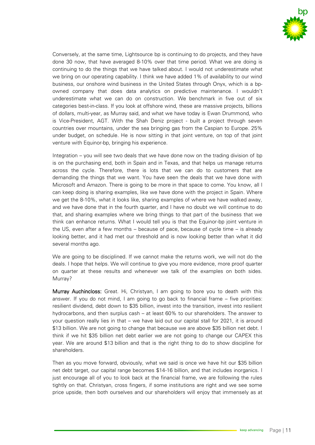

Conversely, at the same time, Lightsource bp is continuing to do projects, and they have done 30 now, that have averaged 8-10% over that time period. What we are doing is continuing to do the things that we have talked about. I would not underestimate what we bring on our operating capability. I think we have added 1% of availability to our wind business, our onshore wind business in the United States through Onyx, which is a bpowned company that does data analytics on predictive maintenance. I wouldn't underestimate what we can do on construction. We benchmark in five out of six categories best-in-class. If you look at offshore wind, these are massive projects, billions of dollars, multi-year, as Murray said, and what we have today is Ewan Drummond, who is Vice-President, AGT. With the Shah Deniz project - built a project through seven countries over mountains, under the sea bringing gas from the Caspian to Europe. 25% under budget, on schedule. He is now sitting in that joint venture, on top of that joint venture with Equinor-bp, bringing his experience.

Integration – you will see two deals that we have done now on the trading division of bp is on the purchasing end, both in Spain and in Texas, and that helps us manage returns across the cycle. Therefore, there is lots that we can do to customers that are demanding the things that we want. You have seen the deals that we have done with Microsoft and Amazon. There is going to be more in that space to come. You know, all I can keep doing is sharing examples, like we have done with the project in Spain. Where we get the 8-10%, what it looks like, sharing examples of where we have walked away, and we have done that in the fourth quarter, and I have no doubt we will continue to do that, and sharing examples where we bring things to that part of the business that we think can enhance returns. What I would tell you is that the Equinor-bp joint venture in the US, even after a few months – because of pace, because of cycle time – is already looking better, and it had met our threshold and is now looking better than what it did several months ago.

We are going to be disciplined. If we cannot make the returns work, we will not do the deals. I hope that helps. We will continue to give you more evidence, more proof quarter on quarter at these results and whenever we talk of the examples on both sides. Murray?

Murray Auchincloss: Great. Hi, Christyan, I am going to bore you to death with this answer. If you do not mind, I am going to go back to financial frame – five priorities: resilient dividend, debt down to \$35 billion, invest into the transition, invest into resilient hydrocarbons, and then surplus cash – at least 60% to our shareholders. The answer to your question really lies in that – we have laid out our capital stall for 2021, it is around \$13 billion. We are not going to change that because we are above \$35 billion net debt. I think if we hit \$35 billion net debt earlier we are not going to change our CAPEX this year. We are around \$13 billion and that is the right thing to do to show discipline for shareholders.

Then as you move forward, obviously, what we said is once we have hit our \$35 billion net debt target, our capital range becomes \$14-16 billion, and that includes inorganics. I just encourage all of you to look back at the financial frame, we are following the rules tightly on that. Christyan, cross fingers, if some institutions are right and we see some price upside, then both ourselves and our shareholders will enjoy that immensely as at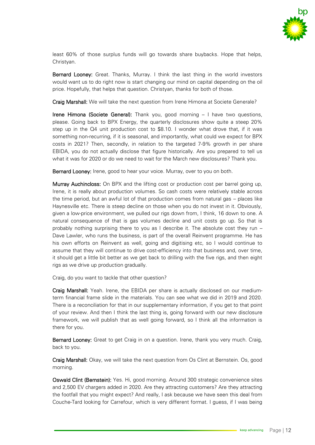

least 60% of those surplus funds will go towards share buybacks. Hope that helps, Christyan.

Bernard Looney: Great. Thanks, Murray. I think the last thing in the world investors would want us to do right now is start changing our mind on capital depending on the oil price. Hopefully, that helps that question. Christyan, thanks for both of those.

Craig Marshall: We will take the next question from Irene Himona at Societe Generale?

Irene Himona (Societe General): Thank you, good morning – I have two questions, please. Going back to BPX Energy, the quarterly disclosures show quite a steep 20% step up in the Q4 unit production cost to \$8.10. I wonder what drove that, if it was something non-recurring, if it is seasonal, and importantly, what could we expect for BPX costs in 2021? Then, secondly, in relation to the targeted 7-9% growth in per share EBIDA, you do not actually disclose that figure historically. Are you prepared to tell us what it was for 2020 or do we need to wait for the March new disclosures? Thank you.

Bernard Looney: Irene, good to hear your voice. Murray, over to you on both.

Murray Auchincloss: On BPX and the lifting cost or production cost per barrel going up, Irene, it is really about production volumes. So cash costs were relatively stable across the time period, but an awful lot of that production comes from natural gas – places like Haynesville etc. There is steep decline on those when you do not invest in it. Obviously, given a low-price environment, we pulled our rigs down from, I think, 16 down to one. A natural consequence of that is gas volumes decline and unit costs go up. So that is probably nothing surprising there to you as I describe it. The absolute cost they run – Dave Lawler, who runs the business, is part of the overall Reinvent programme. He has his own efforts on Reinvent as well, going and digitising etc, so I would continue to assume that they will continue to drive cost-efficiency into that business and, over time, it should get a little bit better as we get back to drilling with the five rigs, and then eight rigs as we drive up production gradually.

Craig, do you want to tackle that other question?

Craig Marshall: Yeah. Irene, the EBIDA per share is actually disclosed on our mediumterm financial frame slide in the materials. You can see what we did in 2019 and 2020. There is a reconciliation for that in our supplementary information, if you get to that point of your review. And then I think the last thing is, going forward with our new disclosure framework, we will publish that as well going forward, so I think all the information is there for you.

Bernard Looney: Great to get Craig in on a question. Irene, thank you very much. Craig, back to you.

Craig Marshall: Okay, we will take the next question from Os Clint at Bernstein. Os, good morning.

Oswald Clint (Bernstein): Yes. Hi, good morning. Around 300 strategic convenience sites and 2,500 EV chargers added in 2020. Are they attracting customers? Are they attracting the footfall that you might expect? And really, I ask because we have seen this deal from Couche-Tard looking for Carrefour, which is very different format. I guess, if I was being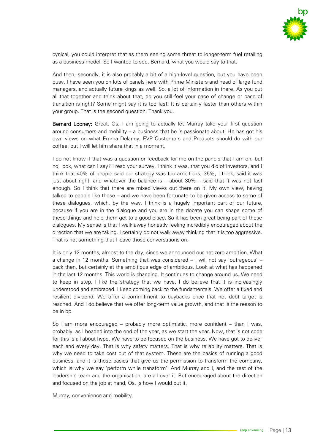

cynical, you could interpret that as them seeing some threat to longer-term fuel retailing as a business model. So I wanted to see, Bernard, what you would say to that.

And then, secondly, it is also probably a bit of a high-level question, but you have been busy. I have seen you on lots of panels here with Prime Ministers and head of large fund managers, and actually future kings as well. So, a lot of information in there. As you put all that together and think about that, do you still feel your pace of change or pace of transition is right? Some might say it is too fast. It is certainly faster than others within your group. That is the second question. Thank you.

Bernard Looney: Great. Os, I am going to actually let Murray take your first question around consumers and mobility – a business that he is passionate about. He has got his own views on what Emma Delaney, EVP Customers and Products should do with our coffee, but I will let him share that in a moment.

I do not know if that was a question or feedback for me on the panels that I am on, but no, look, what can I say? I read your survey, I think it was, that you did of investors, and I think that 40% of people said our strategy was too ambitious; 35%, I think, said it was just about right; and whatever the balance is – about 30% – said that it was not fast enough. So I think that there are mixed views out there on it. My own view, having talked to people like those – and we have been fortunate to be given access to some of these dialogues, which, by the way, I think is a hugely important part of our future, because if you are in the dialogue and you are in the debate you can shape some of these things and help them get to a good place. So it has been great being part of these dialogues. My sense is that I walk away honestly feeling incredibly encouraged about the direction that we are taking. I certainly do not walk away thinking that it is too aggressive. That is not something that I leave those conversations on.

It is only 12 months, almost to the day, since we announced our net zero ambition. What a change in 12 months. Something that was considered – I will not say 'outrageous' – back then, but certainly at the ambitious edge of ambitious. Look at what has happened in the last 12 months. This world is changing. It continues to change around us. We need to keep in step. I like the strategy that we have. I do believe that it is increasingly understood and embraced. I keep coming back to the fundamentals. We offer a fixed and resilient dividend. We offer a commitment to buybacks once that net debt target is reached. And I do believe that we offer long-term value growth, and that is the reason to be in bp.

So I am more encouraged – probably more optimistic, more confident – than I was, probably, as I headed into the end of the year, as we start the year. Now, that is not code for this is all about hype. We have to be focused on the business. We have got to deliver each and every day. That is why safety matters. That is why reliability matters. That is why we need to take cost out of that system. These are the basics of running a good business, and it is those basics that give us the permission to transform the company, which is why we say 'perform while transform'. And Murray and I, and the rest of the leadership team and the organisation, are all over it. But encouraged about the direction and focused on the job at hand, Os, is how I would put it.

Murray, convenience and mobility.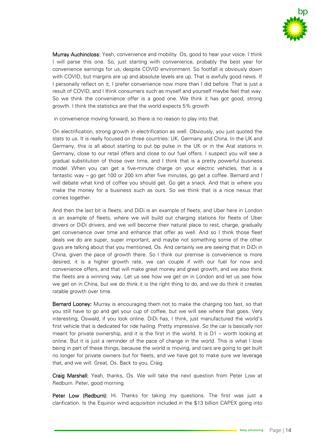

Murray Auchincloss: Yeah, convenience and mobility. Os, good to hear your voice. I think I will parse this one. So, just starting with convenience, probably the best year for convenience earnings for us, despite COVID environment. So footfall is obviously down with COVID, but margins are up and absolute levels are up. That is awfully good news. If I personally reflect on it, I prefer convenience now more than I did before. That is just a result of COVID, and I think consumers such as myself and yourself maybe feel that way. So we think the convenience offer is a good one. We think it has got good, strong growth. I think the statistics are that the world expects 5% growth

in convenience moving forward, so there is no reason to play into that.

On electrification, strong growth in electrification as well. Obviously, you just quoted the stats to us. It is really focused on three countries: UK, Germany and China. In the UK and Germany, this is all about starting to put bp pulse in the UK or in the Aral stations in Germany, close to our retail offers and close to our fuel offers. I suspect you will see a gradual substitution of those over time, and I think that is a pretty powerful business model. When you can get a five-minute charge on your electric vehicles, that is a fantastic way – go get 100 or 200 km after five minutes, go get a coffee. Bernard and I will debate what kind of coffee you should get. Go get a snack. And that is where you make the money for a business such as ours. So we think that is a nice nexus that comes together.

And then the last bit is fleets, and DiDi is an example of fleets, and Uber here in London is an example of fleets, where we will build out charging stations for fleets of Uber drivers or DiDi drivers, and we will become their natural place to rest, charge, gradually get convenience over time and enhance that offer as well. And so I think those fleet deals we do are super, super important, and maybe not something some of the other guys are talking about that you mentioned, Os. And certainly we are seeing that in DiDi in China, given the pace of growth there. So I think our premise is convenience is more desired, it is a higher growth rate, we can couple if with our fuel for now and convenience offers, and that will make great money and great growth, and we also think the fleets are a winning way. Let us see how we get on in London and let us see how we get on in China, but we do think it is the right thing to do, and we do think it creates ratable growth over time.

Bernard Looney: Murray is encouraging them not to make the charging too fast, so that you still have to go and get your cup of coffee, but we will see where that goes. Very interesting, Oswald, if you look online. DiDi has, I think, just manufactured the world's first vehicle that is dedicated for ride hailing. Pretty impressive. So the car is basically not meant for private ownership, and it is the first in the world. It is D1 – worth looking at online. But it is just a reminder of the pace of change in the world. This is what I love being in part of these things, because the world is moving, and cars are going to get built no longer for private owners but for fleets, and we have got to make sure we leverage that, and we will. Great, Os. Back to you, Craig.

Craig Marshall: Yeah, thanks, Os. We will take the next question from Peter Low at Redburn. Peter, good morning.

Peter Low (Redburn): Hi. Thanks for taking my questions. The first was just a clarification. Is the Equinor wind acquisition included in the \$13 billion CAPEX going into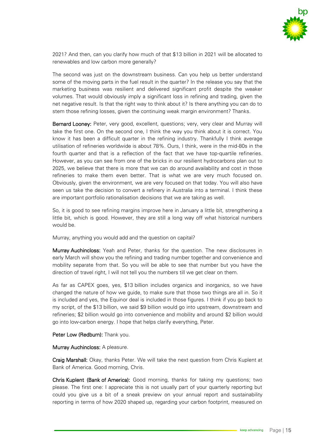

2021? And then, can you clarify how much of that \$13 billion in 2021 will be allocated to renewables and low carbon more generally?

The second was just on the downstream business. Can you help us better understand some of the moving parts in the fuel result in the quarter? In the release you say that the marketing business was resilient and delivered significant profit despite the weaker volumes. That would obviously imply a significant loss in refining and trading, given the net negative result. Is that the right way to think about it? Is there anything you can do to stem those refining losses, given the continuing weak margin environment? Thanks.

Bernard Looney: Peter, very good, excellent, questions; very, very clear and Murray will take the first one. On the second one, I think the way you think about it is correct. You know it has been a difficult quarter in the refining industry. Thankfully I think average utilisation of refineries worldwide is about 78%. Ours, I think, were in the mid-80s in the fourth quarter and that is a reflection of the fact that we have top-quartile refineries. However, as you can see from one of the bricks in our resilient hydrocarbons plan out to 2025, we believe that there is more that we can do around availability and cost in those refineries to make them even better. That is what we are very much focused on. Obviously, given the environment, we are very focused on that today. You will also have seen us take the decision to convert a refinery in Australia into a terminal. I think these are important portfolio rationalisation decisions that we are taking as well.

So, it is good to see refining margins improve here in January a little bit, strengthening a little bit, which is good. However, they are still a long way off what historical numbers would be.

Murray, anything you would add and the question on capital?

Murray Auchincloss: Yeah and Peter, thanks for the question. The new disclosures in early March will show you the refining and trading number together and convenience and mobility separate from that. So you will be able to see that number but you have the direction of travel right, I will not tell you the numbers till we get clear on them.

As far as CAPEX goes, yes, \$13 billion includes organics and inorganics, so we have changed the nature of how we guide, to make sure that those two things are all in. So it is included and yes, the Equinor deal is included in those figures. I think if you go back to my script, of the \$13 billion, we said \$9 billion would go into upstream, downstream and refineries; \$2 billion would go into convenience and mobility and around \$2 billion would go into low-carbon energy. I hope that helps clarify everything, Peter.

Peter Low (Redburn): Thank you.

Murray Auchincloss: A pleasure.

Craig Marshall: Okay, thanks Peter. We will take the next question from Chris Kuplent at Bank of America. Good morning, Chris.

Chris Kuplent (Bank of America): Good morning, thanks for taking my questions; two please. The first one: I appreciate this is not usually part of your quarterly reporting but could you give us a bit of a sneak preview on your annual report and sustainability reporting in terms of how 2020 shaped up, regarding your carbon footprint, measured on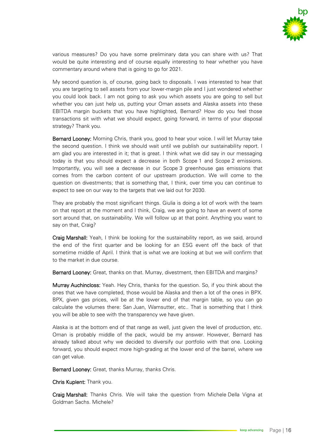

various measures? Do you have some preliminary data you can share with us? That would be quite interesting and of course equally interesting to hear whether you have commentary around where that is going to go for 2021.

My second question is, of course, going back to disposals. I was interested to hear that you are targeting to sell assets from your lower-margin pile and I just wondered whether you could look back. I am not going to ask you which assets you are going to sell but whether you can just help us, putting your Oman assets and Alaska assets into these EBITDA margin buckets that you have highlighted, Bernard? How do you feel those transactions sit with what we should expect, going forward, in terms of your disposal strategy? Thank you.

Bernard Looney: Morning Chris, thank you, good to hear your voice. I will let Murray take the second question. I think we should wait until we publish our sustainability report. I am glad you are interested in it; that is great. I think what we did say in our messaging today is that you should expect a decrease in both Scope 1 and Scope 2 emissions. Importantly, you will see a decrease in our Scope 3 greenhouse gas emissions that comes from the carbon content of our upstream production. We will come to the question on divestments; that is something that, I think, over time you can continue to expect to see on our way to the targets that we laid out for 2030.

They are probably the most significant things. Giulia is doing a lot of work with the team on that report at the moment and I think, Craig, we are going to have an event of some sort around that, on sustainability. We will follow up at that point. Anything you want to say on that, Craig?

Craig Marshall: Yeah, I think be looking for the sustainability report, as we said, around the end of the first quarter and be looking for an ESG event off the back of that sometime middle of April. I think that is what we are looking at but we will confirm that to the market in due course.

Bernard Looney: Great, thanks on that. Murray, divestment, then EBITDA and margins?

Murray Auchincloss: Yeah. Hey Chris, thanks for the question. So, if you think about the ones that we have completed, those would be Alaska and then a lot of the ones in BPX. BPX, given gas prices, will be at the lower end of that margin table, so you can go calculate the volumes there: San Juan, Wamsutter, etc.. That is something that I think you will be able to see with the transparency we have given.

Alaska is at the bottom end of that range as well, just given the level of production, etc. Oman is probably middle of the pack, would be my answer. However, Bernard has already talked about why we decided to diversify our portfolio with that one. Looking forward, you should expect more high-grading at the lower end of the barrel, where we can get value.

Bernard Looney: Great, thanks Murray, thanks Chris.

Chris Kuplent: Thank you.

Craig Marshall: Thanks Chris. We will take the question from Michele Della Vigna at Goldman Sachs. Michele?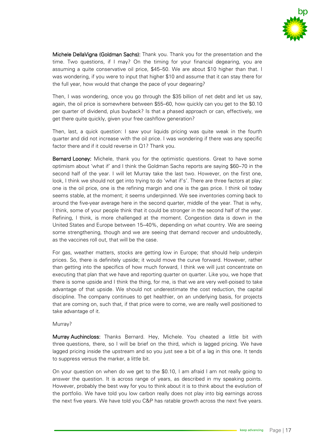

Michele DellaVigna (Goldman Sachs): Thank you. Thank you for the presentation and the time. Two questions, if I may? On the timing for your financial degearing, you are assuming a quite conservative oil price, \$45–50. We are about \$10 higher than that. I was wondering, if you were to input that higher \$10 and assume that it can stay there for the full year, how would that change the pace of your degearing?

Then, I was wondering, once you go through the \$35 billion of net debt and let us say, again, the oil price is somewhere between \$55–60, how quickly can you get to the \$0.10 per quarter of dividend, plus buyback? Is that a phased approach or can, effectively, we get there quite quickly, given your free cashflow generation?

Then, last, a quick question: I saw your liquids pricing was quite weak in the fourth quarter and did not increase with the oil price. I was wondering if there was any specific factor there and if it could reverse in Q1? Thank you.

Bernard Looney: Michele, thank you for the optimistic questions. Great to have some optimism about 'what if' and I think the Goldman Sachs reports are saying \$60–70 in the second half of the year. I will let Murray take the last two. However, on the first one, look, I think we should not get into trying to do 'what if's'. There are three factors at play: one is the oil price, one is the refining margin and one is the gas price. I think oil today seems stable, at the moment; it seems underpinned. We see inventories coming back to around the five-year average here in the second quarter, middle of the year. That is why, I think, some of your people think that it could be stronger in the second half of the year. Refining, I think, is more challenged at the moment. Congestion data is down in the United States and Europe between 15–40%, depending on what country. We are seeing some strengthening, though and we are seeing that demand recover and undoubtedly, as the vaccines roll out, that will be the case.

For gas, weather matters, stocks are getting low in Europe; that should help underpin prices. So, there is definitely upside; it would move the curve forward. However, rather than getting into the specifics of how much forward, I think we will just concentrate on executing that plan that we have and reporting quarter on quarter. Like you, we hope that there is some upside and I think the thing, for me, is that we are very well-poised to take advantage of that upside. We should not underestimate the cost reduction, the capital discipline. The company continues to get healthier, on an underlying basis, for projects that are coming on, such that, if that price were to come, we are really well positioned to take advantage of it.

#### Murray?

Murray Auchincloss: Thanks Bernard. Hey, Michele. You cheated a little bit with three questions, there, so I will be brief on the third, which is lagged pricing. We have lagged pricing inside the upstream and so you just see a bit of a lag in this one. It tends to suppress versus the marker, a little bit.

On your question on when do we get to the \$0.10, I am afraid I am not really going to answer the question. It is across range of years, as described in my speaking points. However, probably the best way for you to think about it is to think about the evolution of the portfolio. We have told you low carbon really does not play into big earnings across the next five years. We have told you C&P has ratable growth across the next five years.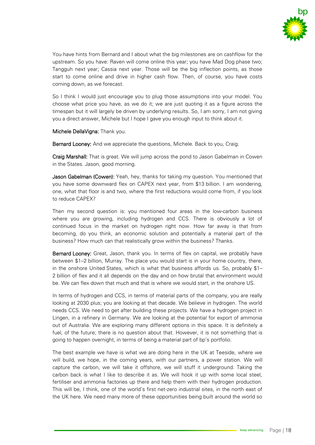

You have hints from Bernard and I about what the big milestones are on cashflow for the upstream. So you have: Raven will come online this year; you have Mad Dog phase two; Tangguh next year; Cassia next year. Those will be the big inflection points, as those start to come online and drive in higher cash flow. Then, of course, you have costs coming down, as we forecast.

So I think I would just encourage you to plug those assumptions into your model. You choose what price you have, as we do it; we are just quoting it as a figure across the timespan but it will largely be driven by underlying results. So, I am sorry, I am not giving you a direct answer, Michele but I hope I gave you enough input to think about it.

Michele DellaVigna: Thank you.

Bernard Looney: And we appreciate the questions, Michele. Back to you, Craig.

Craig Marshall: That is great. We will jump across the pond to Jason Gabelman in Cowen in the States. Jason, good morning.

Jason Gabelman (Cowen): Yeah, hey, thanks for taking my question. You mentioned that you have some downward flex on CAPEX next year, from \$13 billion. I am wondering, one, what that floor is and two, where the first reductions would come from, if you look to reduce CAPEX?

Then my second question is: you mentioned four areas in the low-carbon business where you are growing, including hydrogen and CCS. There is obviously a lot of continued focus in the market on hydrogen right now. How far away is that from becoming, do you think, an economic solution and potentially a material part of the business? How much can that realistically grow within the business? Thanks.

Bernard Looney: Great, Jason, thank you. In terms of flex on capital, we probably have between \$1–2 billion, Murray. The place you would start is in your home country, there, in the onshore United States, which is what that business affords us. So, probably \$1– 2 billion of flex and it all depends on the day and on how brutal that environment would be. We can flex down that much and that is where we would start, in the onshore US.

In terms of hydrogen and CCS, in terms of material parts of the company, you are really looking at 2030 plus; you are looking at that decade. We believe in hydrogen. The world needs CCS. We need to get after building these projects. We have a hydrogen project in Lingen, in a refinery in Germany. We are looking at the potential for export of ammonia out of Australia. We are exploring many different options in this space. It is definitely a fuel, of the future; there is no question about that. However, it is not something that is going to happen overnight, in terms of being a material part of bp's portfolio.

The best example we have is what we are doing here in the UK at Teeside, where we will build, we hope, in the coming years, with our partners, a power station. We will capture the carbon, we will take it offshore, we will stuff it underground. Taking the carbon back is what I like to describe it as. We will hook it up with some local steel, fertiliser and ammonia factories up there and help them with their hydrogen production. This will be, I think, one of the world's first net-zero industrial sites, in the north east of the UK here. We need many more of these opportunities being built around the world so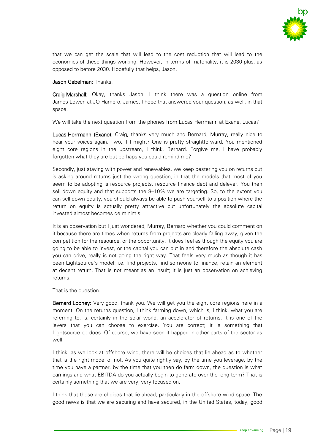

that we can get the scale that will lead to the cost reduction that will lead to the economics of these things working. However, in terms of materiality, it is 2030 plus, as opposed to before 2030. Hopefully that helps, Jason.

Jason Gabelman: Thanks.

Craig Marshall: Okay, thanks Jason. I think there was a question online from James Lowen at JO Hambro. James, I hope that answered your question, as well, in that space.

We will take the next question from the phones from Lucas Herrmann at Exane. Lucas?

Lucas Herrmann (Exane): Craig, thanks very much and Bernard, Murray, really nice to hear your voices again. Two, if I might? One is pretty straightforward. You mentioned eight core regions in the upstream, I think, Bernard. Forgive me, I have probably forgotten what they are but perhaps you could remind me?

Secondly, just staying with power and renewables, we keep pestering you on returns but is asking around returns just the wrong question, in that the models that most of you seem to be adopting is resource projects, resource finance debt and delever. You then sell down equity and that supports the 8–10% we are targeting. So, to the extent you can sell down equity, you should always be able to push yourself to a position where the return on equity is actually pretty attractive but unfortunately the absolute capital invested almost becomes de minimis.

It is an observation but I just wondered, Murray, Bernard whether you could comment on it because there are times when returns from projects are clearly falling away, given the competition for the resource, or the opportunity. It does feel as though the equity you are going to be able to invest, or the capital you can put in and therefore the absolute cash you can drive, really is not going the right way. That feels very much as though it has been Lightsource's model: i.e. find projects, find someone to finance, retain an element at decent return. That is not meant as an insult; it is just an observation on achieving returns.

That is the question.

Bernard Looney: Very good, thank you. We will get you the eight core regions here in a moment. On the returns question, I think farming down, which is, I think, what you are referring to, is, certainly in the solar world, an accelerator of returns. It is one of the levers that you can choose to exercise. You are correct; it is something that Lightsource bp does. Of course, we have seen it happen in other parts of the sector as well.

I think, as we look at offshore wind, there will be choices that lie ahead as to whether that is the right model or not. As you quite rightly say, by the time you leverage, by the time you have a partner, by the time that you then do farm down, the question is what earnings and what EBITDA do you actually begin to generate over the long term? That is certainly something that we are very, very focused on.

I think that these are choices that lie ahead, particularly in the offshore wind space. The good news is that we are securing and have secured, in the United States, today, good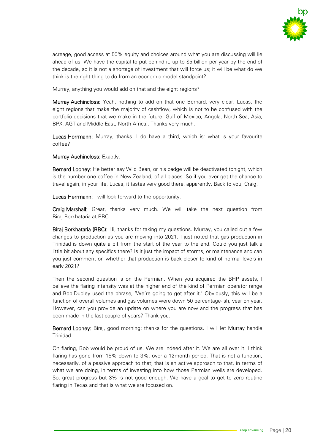

acreage, good access at 50% equity and choices around what you are discussing will lie ahead of us. We have the capital to put behind it, up to \$5 billion per year by the end of the decade, so it is not a shortage of investment that will force us; it will be what do we think is the right thing to do from an economic model standpoint?

Murray, anything you would add on that and the eight regions?

Murray Auchincloss: Yeah, nothing to add on that one Bernard, very clear. Lucas, the eight regions that make the majority of cashflow, which is not to be confused with the portfolio decisions that we make in the future: Gulf of Mexico, Angola, North Sea, Asia, BPX, AGT and Middle East, North Africa]. Thanks very much.

Lucas Herrmann: Murray, thanks. I do have a third, which is: what is your favourite coffee?

Murray Auchincloss: Exactly.

Bernard Looney: He better say Wild Bean, or his badge will be deactivated tonight, which is the number one coffee in New Zealand, of all places. So if you ever get the chance to travel again, in your life, Lucas, it tastes very good there, apparently. Back to you, Craig.

Lucas Herrmann: I will look forward to the opportunity.

Craig Marshall: Great, thanks very much. We will take the next question from Biraj Borkhataria at RBC.

Biraj Borkhataria (RBC): Hi, thanks for taking my questions. Murray, you called out a few changes to production as you are moving into 2021. I just noted that gas production in Trinidad is down quite a bit from the start of the year to the end. Could you just talk a little bit about any specifics there? Is it just the impact of storms, or maintenance and can you just comment on whether that production is back closer to kind of normal levels in early 2021?

Then the second question is on the Permian. When you acquired the BHP assets, I believe the flaring intensity was at the higher end of the kind of Permian operator range and Bob Dudley used the phrase, 'We're going to get after it.' Obviously, this will be a function of overall volumes and gas volumes were down 50 percentage-ish, year on year. However, can you provide an update on where you are now and the progress that has been made in the last couple of years? Thank you.

Bernard Looney: Biraj, good morning; thanks for the questions. I will let Murray handle Trinidad.

On flaring, Bob would be proud of us. We are indeed after it. We are all over it. I think flaring has gone from 15% down to 3%, over a 12month period. That is not a function, necessarily, of a passive approach to that; that is an active approach to that, in terms of what we are doing, in terms of investing into how those Permian wells are developed. So, great progress but 3% is not good enough. We have a goal to get to zero routine flaring in Texas and that is what we are focused on.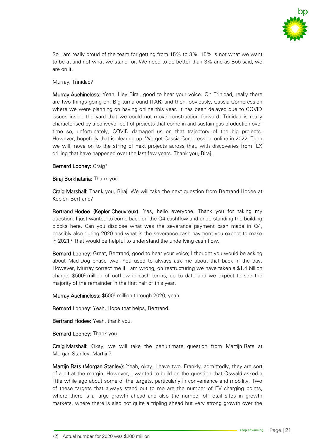

So I am really proud of the team for getting from 15% to 3%. 15% is not what we want to be at and not what we stand for. We need to do better than 3% and as Bob said, we are on it.

### Murray, Trinidad?

Murray Auchincloss: Yeah. Hey Biraj, good to hear your voice. On Trinidad, really there are two things going on: Big turnaround (TAR) and then, obviously, Cassia Compression where we were planning on having online this year. It has been delayed due to COVID issues inside the yard that we could not move construction forward. Trinidad is really characterised by a conveyor belt of projects that come in and sustain gas production over time so, unfortunately, COVID damaged us on that trajectory of the big projects. However, hopefully that is clearing up. We get Cassia Compression online in 2022. Then we will move on to the string of next projects across that, with discoveries from ILX drilling that have happened over the last few years. Thank you, Biraj.

### Bernard Looney: Craig?

Biraj Borkhataria: Thank you.

Craig Marshall: Thank you, Biraj. We will take the next question from Bertrand Hodee at Kepler. Bertrand?

Bertrand Hodee (Kepler Cheuvreux): Yes, hello everyone. Thank you for taking my question. I just wanted to come back on the Q4 cashflow and understanding the building blocks here. Can you disclose what was the severance payment cash made in Q4, possibly also during 2020 and what is the severance cash payment you expect to make in 2021? That would be helpful to understand the underlying cash flow.

Bernard Looney: Great, Bertrand, good to hear your voice; I thought you would be asking about Mad Dog phase two. You used to always ask me about that back in the day. However, Murray correct me if I am wrong, on restructuring we have taken a \$1.4 billion charge,  $$500<sup>2</sup>$  million of outflow in cash terms, up to date and we expect to see the majority of the remainder in the first half of this year.

Murray Auchincloss: \$500<sup>2</sup> million through 2020, yeah.

Bernard Looney: Yeah. Hope that helps, Bertrand.

Bertrand Hodee: Yeah, thank you.

Bernard Looney: Thank you.

Craig Marshall: Okay, we will take the penultimate question from Martijn Rats at Morgan Stanley. Martijn?

Martijn Rats (Morgan Stanley): Yeah, okay. I have two. Frankly, admittedly, they are sort of a bit at the margin. However, I wanted to build on the question that Oswald asked a little while ago about some of the targets, particularly in convenience and mobility. Two of these targets that always stand out to me are the number of EV charging points, where there is a large growth ahead and also the number of retail sites in growth markets, where there is also not quite a tripling ahead but very strong growth over the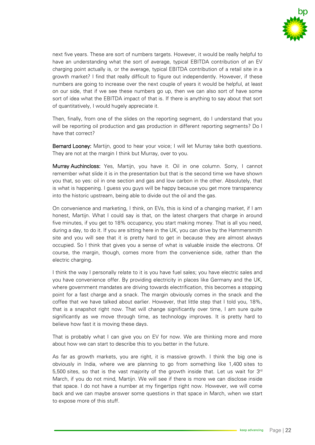

next five years. These are sort of numbers targets. However, it would be really helpful to have an understanding what the sort of average, typical EBITDA contribution of an EV charging point actually is, or the average, typical EBITDA contribution of a retail site in a growth market? I find that really difficult to figure out independently. However, if these numbers are going to increase over the next couple of years it would be helpful, at least on our side, that if we see these numbers go up, then we can also sort of have some sort of idea what the EBITDA impact of that is. If there is anything to say about that sort of quantitatively, I would hugely appreciate it.

Then, finally, from one of the slides on the reporting segment, do I understand that you will be reporting oil production and gas production in different reporting segments? Do I have that correct?

Bernard Looney: Martijn, good to hear your voice; I will let Murray take both questions. They are not at the margin I think but Murray, over to you.

Murray Auchincloss: Yes, Martijn, you have it. Oil in one column. Sorry, I cannot remember what slide it is in the presentation but that is the second time we have shown you that, so yes: oil in one section and gas and low carbon in the other. Absolutely, that is what is happening. I guess you guys will be happy because you get more transparency into the historic upstream, being able to divide out the oil and the gas.

On convenience and marketing, I think, on EVs, this is kind of a changing market, if I am honest, Martijn. What I could say is that, on the latest chargers that charge in around five minutes, if you get to 18% occupancy, you start making money. That is all you need, during a day, to do it. If you are sitting here in the UK, you can drive by the Hammersmith site and you will see that it is pretty hard to get in because they are almost always occupied. So I think that gives you a sense of what is valuable inside the electrons. Of course, the margin, though, comes more from the convenience side, rather than the electric charging.

I think the way I personally relate to it is you have fuel sales; you have electric sales and you have convenience offer. By providing electricity in places like Germany and the UK, where government mandates are driving towards electrification, this becomes a stopping point for a fast charge and a snack. The margin obviously comes in the snack and the coffee that we have talked about earlier. However, that little step that I told you, 18%, that is a snapshot right now. That will change significantly over time, I am sure quite significantly as we move through time, as technology improves. It is pretty hard to believe how fast it is moving these days.

That is probably what I can give you on EV for now. We are thinking more and more about how we can start to describe this to you better in the future.

As far as growth markets, you are right, it is massive growth. I think the big one is obviously in India, where we are planning to go from something like 1,400 sites to 5,500 sites, so that is the vast majority of the growth inside that. Let us wait for  $3^{rd}$ March, if you do not mind, Martijn. We will see if there is more we can disclose inside that space. I do not have a number at my fingertips right now. However, we will come back and we can maybe answer some questions in that space in March, when we start to expose more of this stuff.